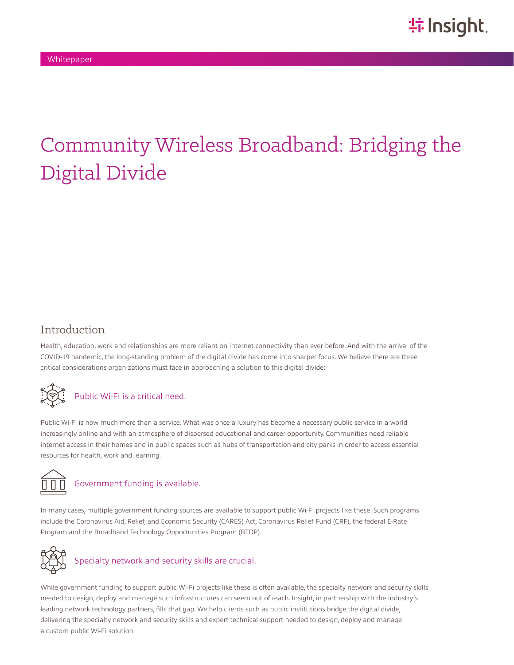# Community Wireless Broadband: Bridging the Digital Divide

#### Introduction

Health, education, work and relationships are more reliant on internet connectivity than ever before. And with the arrival of the COVID-19 pandemic, the long-standing problem of the digital divide has come into sharper focus. We believe there are three critical considerations organizations must face in approaching a solution to this digital divide:



## Public Wi-Fi is a critical need.

Public Wi-Fi is now much more than a service. What was once a luxury has become a necessary public service in a world increasingly online and with an atmosphere of dispersed educational and career opportunity. Communities need reliable internet access in their homes and in public spaces such as hubs of transportation and city parks in order to access essential resources for health, work and learning.



#### Government funding is available.

In many cases, multiple government funding sources are available to support public Wi-Fi projects like these. Such programs include the Coronavirus Aid, Relief, and Economic Security (CARES) Act, Coronavirus Relief Fund (CRF), the federal E-Rate Program and the Broadband Technology Opportunities Program (BTOP).



## Specialty network and security skills are crucial.

While government funding to support public Wi-Fi projects like these is often available, the specialty network and security skills needed to design, deploy and manage such infrastructures can seem out of reach. Insight, in partnership with the industry's leading network technology partners, fills that gap. We help clients such as public institutions bridge the digital divide, delivering the specialty network and security skills and expert technical support needed to design, deploy and manage a custom public Wi-Fi solution.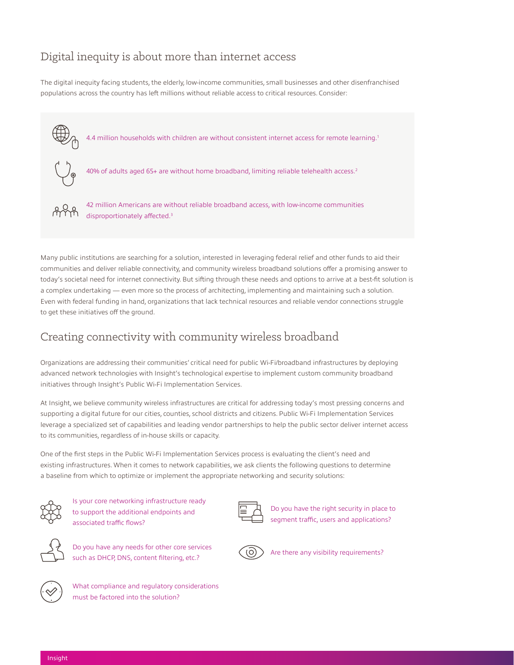### Digital inequity is about more than internet access

The digital inequity facing students, the elderly, low-income communities, small businesses and other disenfranchised populations across the country has left millions without reliable access to critical resources. Consider:



Many public institutions are searching for a solution, interested in leveraging federal relief and other funds to aid their communities and deliver reliable connectivity, and community wireless broadband solutions offer a promising answer to today's societal need for internet connectivity. But sifting through these needs and options to arrive at a best-fit solution is a complex undertaking — even more so the process of architecting, implementing and maintaining such a solution. Even with federal funding in hand, organizations that lack technical resources and reliable vendor connections struggle to get these initiatives off the ground.

#### Creating connectivity with community wireless broadband

Organizations are addressing their communities' critical need for public Wi-Fi/broadband infrastructures by deploying advanced network technologies with Insight's technological expertise to implement custom community broadband initiatives through Insight's Public Wi-Fi Implementation Services.

At Insight, we believe community wireless infrastructures are critical for addressing today's most pressing concerns and supporting a digital future for our cities, counties, school districts and citizens. Public Wi-Fi Implementation Services leverage a specialized set of capabilities and leading vendor partnerships to help the public sector deliver internet access to its communities, regardless of in-house skills or capacity.

One of the first steps in the Public Wi-Fi Implementation Services process is evaluating the client's need and existing infrastructures. When it comes to network capabilities, we ask clients the following questions to determine a baseline from which to optimize or implement the appropriate networking and security solutions:

Is your core networking infrastructure ready to support the additional endpoints and associated traffic flows?



Do you have the right security in place to segment traffic, users and applications?



Do you have any needs for other core services such as DHCP, DNS, content filtering, etc.? Are there any visibility requirements?



What compliance and regulatory considerations must be factored into the solution?

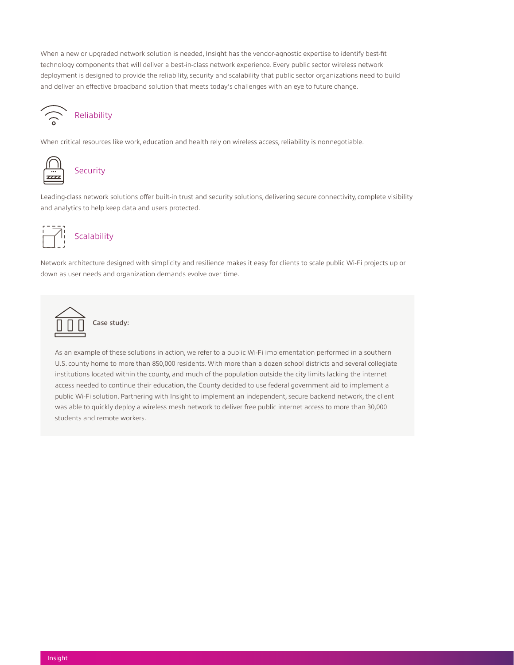When a new or upgraded network solution is needed, Insight has the vendor-agnostic expertise to identify best-fit technology components that will deliver a best-in-class network experience. Every public sector wireless network deployment is designed to provide the reliability, security and scalability that public sector organizations need to build and deliver an effective broadband solution that meets today's challenges with an eye to future change.



#### Reliability

When critical resources like work, education and health rely on wireless access, reliability is nonnegotiable.



#### Security

Leading-class network solutions offer built-in trust and security solutions, delivering secure connectivity, complete visibility and analytics to help keep data and users protected.



#### **Scalability**

Network architecture designed with simplicity and resilience makes it easy for clients to scale public Wi-Fi projects up or down as user needs and organization demands evolve over time.



As an example of these solutions in action, we refer to a public Wi-Fi implementation performed in a southern U.S. county home to more than 850,000 residents. With more than a dozen school districts and several collegiate institutions located within the county, and much of the population outside the city limits lacking the internet access needed to continue their education, the County decided to use federal government aid to implement a public Wi-Fi solution. Partnering with Insight to implement an independent, secure backend network, the client was able to quickly deploy a wireless mesh network to deliver free public internet access to more than 30,000 students and remote workers.